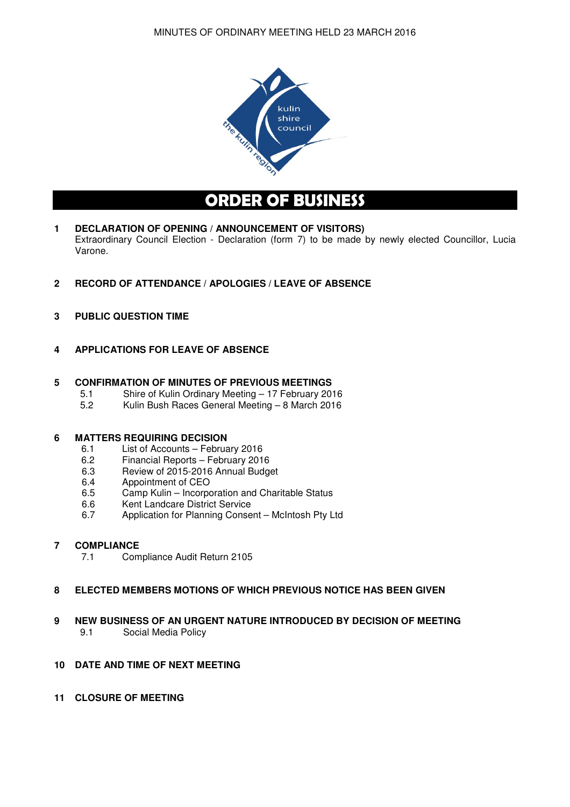

# **ORDER OF BUSINESS**

- **1 DECLARATION OF OPENING / ANNOUNCEMENT OF VISITORS)**  Extraordinary Council Election - Declaration (form 7) to be made by newly elected Councillor, Lucia Varone.
- **2 RECORD OF ATTENDANCE / APOLOGIES / LEAVE OF ABSENCE**
- **3 PUBLIC QUESTION TIME**
- **4 APPLICATIONS FOR LEAVE OF ABSENCE**

# **5 CONFIRMATION OF MINUTES OF PREVIOUS MEETINGS**<br>5.1 Shire of Kulin Ordinary Meeting – 17 February 20

- 5.1 Shire of Kulin Ordinary Meeting 17 February 2016
- 5.2 Kulin Bush Races General Meeting 8 March 2016

## **6 MATTERS REQUIRING DECISION**

- 6.1 List of Accounts February 2016
- 6.2 Financial Reports February 2016
- 6.3 Review of 2015-2016 Annual Budget
- 6.4 Appointment of CEO
- 6.5 Camp Kulin Incorporation and Charitable Status
- 6.6 Kent Landcare District Service
- 6.7 Application for Planning Consent McIntosh Pty Ltd

#### **7 COMPLIANCE**

7.1 Compliance Audit Return 2105

#### **8 ELECTED MEMBERS MOTIONS OF WHICH PREVIOUS NOTICE HAS BEEN GIVEN**

#### **9 NEW BUSINESS OF AN URGENT NATURE INTRODUCED BY DECISION OF MEETING**  9.1 Social Media Policy

- **10 DATE AND TIME OF NEXT MEETING**
- **11 CLOSURE OF MEETING**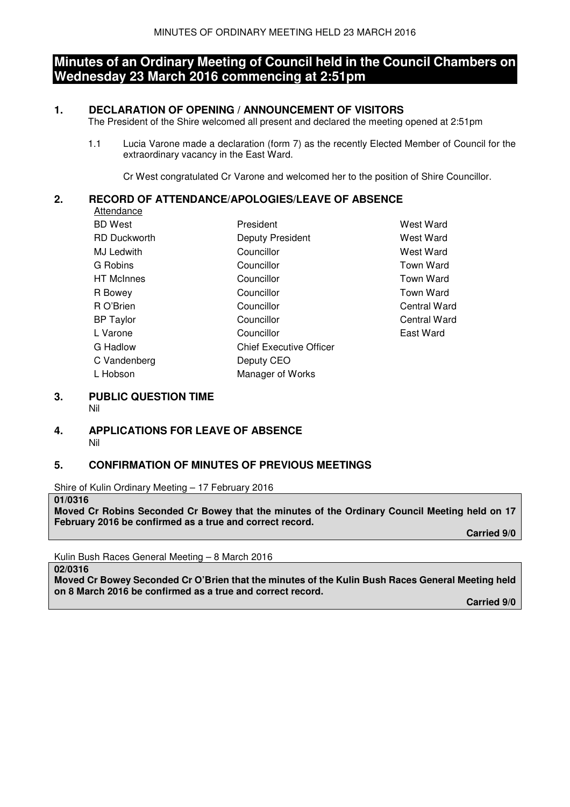## **Minutes of an Ordinary Meeting of Council held in the Council Chambers on Wednesday 23 March 2016 commencing at 2:51pm**

## **1. DECLARATION OF OPENING / ANNOUNCEMENT OF VISITORS**

The President of the Shire welcomed all present and declared the meeting opened at 2:51pm

 1.1 Lucia Varone made a declaration (form 7) as the recently Elected Member of Council for the extraordinary vacancy in the East Ward.

Cr West congratulated Cr Varone and welcomed her to the position of Shire Councillor.

## **2. RECORD OF ATTENDANCE/APOLOGIES/LEAVE OF ABSENCE**

**Attendance** 

| <b>BD</b> West      | President                      | West Ward           |
|---------------------|--------------------------------|---------------------|
| <b>RD Duckworth</b> | Deputy President               | West Ward           |
| MJ Ledwith          | Councillor                     | West Ward           |
| G Robins            | Councillor                     | <b>Town Ward</b>    |
| <b>HT</b> McInnes   | Councillor                     | <b>Town Ward</b>    |
| R Bowey             | Councillor                     | <b>Town Ward</b>    |
| R O'Brien           | Councillor                     | <b>Central Ward</b> |
| <b>BP</b> Taylor    | Councillor                     | <b>Central Ward</b> |
| L Varone            | Councillor                     | East Ward           |
| G Hadlow            | <b>Chief Executive Officer</b> |                     |
| C Vandenberg        | Deputy CEO                     |                     |
| L Hobson            | Manager of Works               |                     |

#### **3. PUBLIC QUESTION TIME**  Nil

## **4. APPLICATIONS FOR LEAVE OF ABSENCE**  Nil

## **5. CONFIRMATION OF MINUTES OF PREVIOUS MEETINGS**

Shire of Kulin Ordinary Meeting – 17 February 2016

**01/0316** 

**Moved Cr Robins Seconded Cr Bowey that the minutes of the Ordinary Council Meeting held on 17 February 2016 be confirmed as a true and correct record.** 

 **Carried 9/0** 

Kulin Bush Races General Meeting – 8 March 2016

**02/0316** 

**Moved Cr Bowey Seconded Cr O'Brien that the minutes of the Kulin Bush Races General Meeting held on 8 March 2016 be confirmed as a true and correct record.** 

 **Carried 9/0**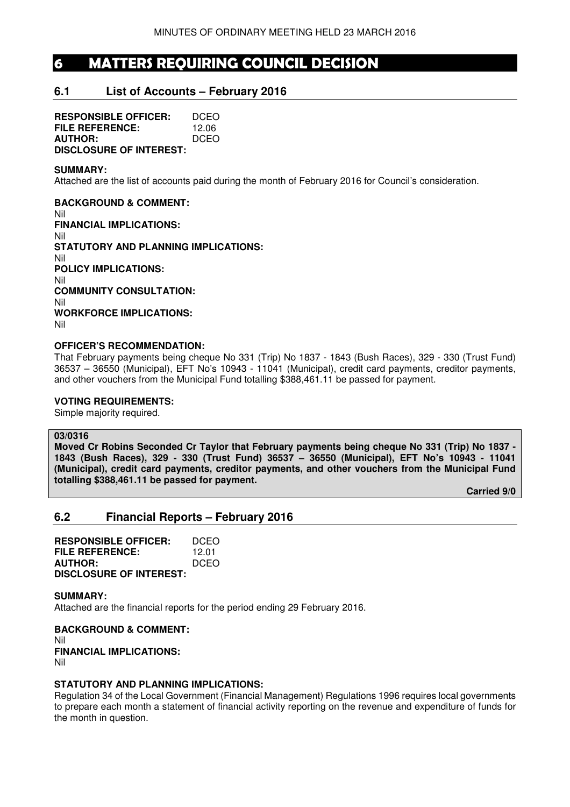## **6 MATTERS REQUIRING COUNCIL DECISION**

## **6.1 List of Accounts – February 2016**

**RESPONSIBLE OFFICER:** DCEO **FILE REFERENCE:** 12.06 **AUTHOR:** DCEO **DISCLOSURE OF INTEREST:** 

#### **SUMMARY:**

Attached are the list of accounts paid during the month of February 2016 for Council's consideration.

**BACKGROUND & COMMENT:**  Nil **FINANCIAL IMPLICATIONS:**  Nil **STATUTORY AND PLANNING IMPLICATIONS:**  Nil **POLICY IMPLICATIONS:**  Nil **COMMUNITY CONSULTATION:**  Nil **WORKFORCE IMPLICATIONS:**  Nil

#### **OFFICER'S RECOMMENDATION:**

That February payments being cheque No 331 (Trip) No 1837 - 1843 (Bush Races), 329 - 330 (Trust Fund) 36537 – 36550 (Municipal), EFT No's 10943 - 11041 (Municipal), credit card payments, creditor payments, and other vouchers from the Municipal Fund totalling \$388,461.11 be passed for payment.

#### **VOTING REQUIREMENTS:**

Simple majority required.

## **03/0316**

**Moved Cr Robins Seconded Cr Taylor that February payments being cheque No 331 (Trip) No 1837 - 1843 (Bush Races), 329 - 330 (Trust Fund) 36537 – 36550 (Municipal), EFT No's 10943 - 11041 (Municipal), credit card payments, creditor payments, and other vouchers from the Municipal Fund totalling \$388,461.11 be passed for payment.** 

 **Carried 9/0** 

## **6.2 Financial Reports – February 2016**

| <b>RESPONSIBLE OFFICER:</b>    | DCEO  |
|--------------------------------|-------|
| FILE REFERENCE:                | 12.01 |
| <b>AUTHOR:</b>                 | DCEO  |
| <b>DISCLOSURE OF INTEREST:</b> |       |

**SUMMARY:**  Attached are the financial reports for the period ending 29 February 2016.

**BACKGROUND & COMMENT:**  Nil **FINANCIAL IMPLICATIONS:**  Nil

#### **STATUTORY AND PLANNING IMPLICATIONS:**

Regulation 34 of the Local Government (Financial Management) Regulations 1996 requires local governments to prepare each month a statement of financial activity reporting on the revenue and expenditure of funds for the month in question.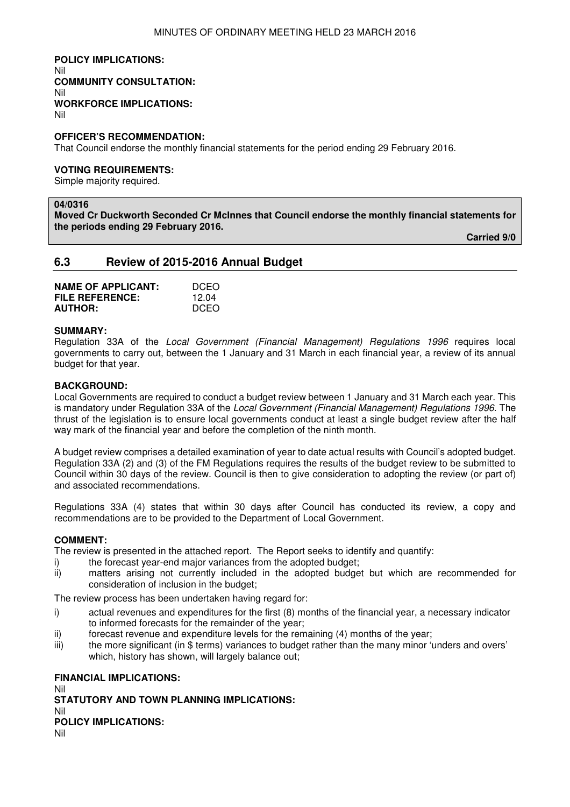**POLICY IMPLICATIONS:**  Nil **COMMUNITY CONSULTATION:**  Nil **WORKFORCE IMPLICATIONS:**  Nil

#### **OFFICER'S RECOMMENDATION:**

That Council endorse the monthly financial statements for the period ending 29 February 2016.

#### **VOTING REQUIREMENTS:**

Simple majority required.

### **04/0316**

**Moved Cr Duckworth Seconded Cr McInnes that Council endorse the monthly financial statements for the periods ending 29 February 2016.** 

 **Carried 9/0** 

#### **6.3 Review of 2015-2016 Annual Budget**

| <b>NAME OF APPLICANT:</b> | DCEO  |
|---------------------------|-------|
| <b>FILE REFERENCE:</b>    | 12.04 |
| <b>AUTHOR:</b>            | DCEO  |

#### **SUMMARY:**

Regulation 33A of the Local Government (Financial Management) Regulations 1996 requires local governments to carry out, between the 1 January and 31 March in each financial year, a review of its annual budget for that year.

#### **BACKGROUND:**

Local Governments are required to conduct a budget review between 1 January and 31 March each year. This is mandatory under Regulation 33A of the Local Government (Financial Management) Regulations 1996. The thrust of the legislation is to ensure local governments conduct at least a single budget review after the half way mark of the financial year and before the completion of the ninth month.

A budget review comprises a detailed examination of year to date actual results with Council's adopted budget. Regulation 33A (2) and (3) of the FM Regulations requires the results of the budget review to be submitted to Council within 30 days of the review. Council is then to give consideration to adopting the review (or part of) and associated recommendations.

Regulations 33A (4) states that within 30 days after Council has conducted its review, a copy and recommendations are to be provided to the Department of Local Government.

#### **COMMENT:**

The review is presented in the attached report. The Report seeks to identify and quantify:

- i) the forecast year-end major variances from the adopted budget;<br>ii) matters arising not currently included in the adopted budget
- matters arising not currently included in the adopted budget but which are recommended for consideration of inclusion in the budget;

The review process has been undertaken having regard for:

- i) actual revenues and expenditures for the first (8) months of the financial year, a necessary indicator to informed forecasts for the remainder of the year;
- ii) forecast revenue and expenditure levels for the remaining (4) months of the year;
- iii) the more significant (in \$ terms) variances to budget rather than the many minor 'unders and overs' which, history has shown, will largely balance out;

#### **FINANCIAL IMPLICATIONS:**

Nil **STATUTORY AND TOWN PLANNING IMPLICATIONS:**  Nil **POLICY IMPLICATIONS:** Nil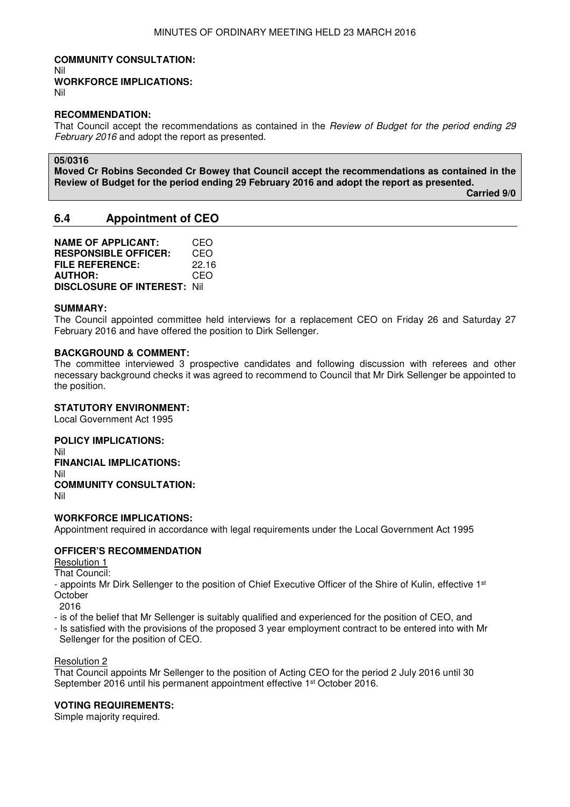#### **COMMUNITY CONSULTATION:** Nil **WORKFORCE IMPLICATIONS:** Nil

#### **RECOMMENDATION:**

That Council accept the recommendations as contained in the Review of Budget for the period ending 29 February 2016 and adopt the report as presented.

**05/0316** 

**Moved Cr Robins Seconded Cr Bowey that Council accept the recommendations as contained in the Review of Budget for the period ending 29 February 2016 and adopt the report as presented.** 

 **Carried 9/0** 

## **6.4 Appointment of CEO**

| <b>NAME OF APPLICANT:</b>           | CEO   |
|-------------------------------------|-------|
| <b>RESPONSIBLE OFFICER:</b>         | CEO   |
| FILE REFERENCE:                     | 22.16 |
| <b>AUTHOR:</b>                      | CEO   |
| <b>DISCLOSURE OF INTEREST: Nill</b> |       |

#### **SUMMARY:**

The Council appointed committee held interviews for a replacement CEO on Friday 26 and Saturday 27 February 2016 and have offered the position to Dirk Sellenger.

#### **BACKGROUND & COMMENT:**

The committee interviewed 3 prospective candidates and following discussion with referees and other necessary background checks it was agreed to recommend to Council that Mr Dirk Sellenger be appointed to the position.

#### **STATUTORY ENVIRONMENT:**

Local Government Act 1995

#### **POLICY IMPLICATIONS:**

Nil **FINANCIAL IMPLICATIONS:**  Nil **COMMUNITY CONSULTATION:** Nil

#### **WORKFORCE IMPLICATIONS:**

Appointment required in accordance with legal requirements under the Local Government Act 1995

#### **OFFICER'S RECOMMENDATION**

Resolution 1

That Council:

- appoints Mr Dirk Sellenger to the position of Chief Executive Officer of the Shire of Kulin, effective 1st **October** 

2016

- is of the belief that Mr Sellenger is suitably qualified and experienced for the position of CEO, and
- Is satisfied with the provisions of the proposed 3 year employment contract to be entered into with Mr Sellenger for the position of CEO.

#### Resolution 2

That Council appoints Mr Sellenger to the position of Acting CEO for the period 2 July 2016 until 30 September 2016 until his permanent appointment effective 1<sup>st</sup> October 2016.

#### **VOTING REQUIREMENTS:**

Simple majority required.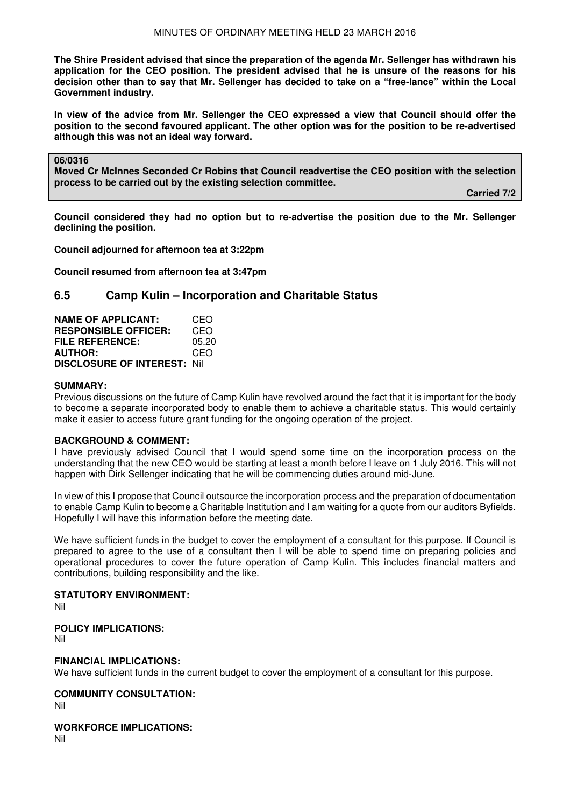**The Shire President advised that since the preparation of the agenda Mr. Sellenger has withdrawn his application for the CEO position. The president advised that he is unsure of the reasons for his decision other than to say that Mr. Sellenger has decided to take on a "free-lance" within the Local Government industry.** 

**In view of the advice from Mr. Sellenger the CEO expressed a view that Council should offer the position to the second favoured applicant. The other option was for the position to be re-advertised although this was not an ideal way forward.** 

#### **06/0316**

**Moved Cr McInnes Seconded Cr Robins that Council readvertise the CEO position with the selection process to be carried out by the existing selection committee.** 

 **Carried 7/2** 

**Council considered they had no option but to re-advertise the position due to the Mr. Sellenger declining the position.** 

**Council adjourned for afternoon tea at 3:22pm** 

**Council resumed from afternoon tea at 3:47pm** 

## **6.5 Camp Kulin – Incorporation and Charitable Status**

| <b>NAME OF APPLICANT:</b>           | CEO   |
|-------------------------------------|-------|
| <b>RESPONSIBLE OFFICER:</b>         | CEO   |
| FILE REFERENCE:                     | 05.20 |
| <b>AUTHOR:</b>                      | CEO   |
| <b>DISCLOSURE OF INTEREST: Nill</b> |       |

#### **SUMMARY:**

Previous discussions on the future of Camp Kulin have revolved around the fact that it is important for the body to become a separate incorporated body to enable them to achieve a charitable status. This would certainly make it easier to access future grant funding for the ongoing operation of the project.

#### **BACKGROUND & COMMENT:**

I have previously advised Council that I would spend some time on the incorporation process on the understanding that the new CEO would be starting at least a month before I leave on 1 July 2016. This will not happen with Dirk Sellenger indicating that he will be commencing duties around mid-June.

In view of this I propose that Council outsource the incorporation process and the preparation of documentation to enable Camp Kulin to become a Charitable Institution and I am waiting for a quote from our auditors Byfields. Hopefully I will have this information before the meeting date.

We have sufficient funds in the budget to cover the employment of a consultant for this purpose. If Council is prepared to agree to the use of a consultant then I will be able to spend time on preparing policies and operational procedures to cover the future operation of Camp Kulin. This includes financial matters and contributions, building responsibility and the like.

#### **STATUTORY ENVIRONMENT:**

Nil

**POLICY IMPLICATIONS:** 

Nil

**FINANCIAL IMPLICATIONS:**  We have sufficient funds in the current budget to cover the employment of a consultant for this purpose.

## **COMMUNITY CONSULTATION:**

Nil

**WORKFORCE IMPLICATIONS:**

Nil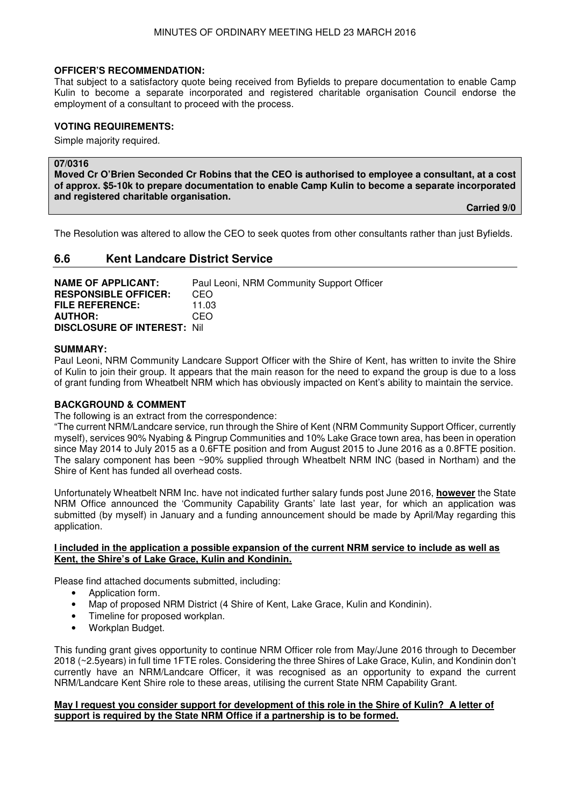#### **OFFICER'S RECOMMENDATION:**

That subject to a satisfactory quote being received from Byfields to prepare documentation to enable Camp Kulin to become a separate incorporated and registered charitable organisation Council endorse the employment of a consultant to proceed with the process.

#### **VOTING REQUIREMENTS:**

Simple majority required.

#### **07/0316**

**Moved Cr O'Brien Seconded Cr Robins that the CEO is authorised to employee a consultant, at a cost of approx. \$5-10k to prepare documentation to enable Camp Kulin to become a separate incorporated and registered charitable organisation.** 

 **Carried 9/0** 

The Resolution was altered to allow the CEO to seek quotes from other consultants rather than just Byfields.

#### **6.6 Kent Landcare District Service**

| <b>NAME OF APPLICANT:</b>          | Paul Leoni, NRM Community Support Officer |
|------------------------------------|-------------------------------------------|
| <b>RESPONSIBLE OFFICER:</b>        | CEO                                       |
| <b>FILE REFERENCE:</b>             | 11 03                                     |
| <b>AUTHOR:</b>                     | CEO                                       |
| <b>DISCLOSURE OF INTEREST: Nil</b> |                                           |

#### **SUMMARY:**

Paul Leoni, NRM Community Landcare Support Officer with the Shire of Kent, has written to invite the Shire of Kulin to join their group. It appears that the main reason for the need to expand the group is due to a loss of grant funding from Wheatbelt NRM which has obviously impacted on Kent's ability to maintain the service.

#### **BACKGROUND & COMMENT**

The following is an extract from the correspondence:

"The current NRM/Landcare service, run through the Shire of Kent (NRM Community Support Officer, currently myself), services 90% Nyabing & Pingrup Communities and 10% Lake Grace town area, has been in operation since May 2014 to July 2015 as a 0.6FTE position and from August 2015 to June 2016 as a 0.8FTE position. The salary component has been ~90% supplied through Wheatbelt NRM INC (based in Northam) and the Shire of Kent has funded all overhead costs.

Unfortunately Wheatbelt NRM Inc. have not indicated further salary funds post June 2016, **however** the State NRM Office announced the 'Community Capability Grants' late last year, for which an application was submitted (by myself) in January and a funding announcement should be made by April/May regarding this application.

#### **I included in the application a possible expansion of the current NRM service to include as well as Kent, the Shire's of Lake Grace, Kulin and Kondinin.**

Please find attached documents submitted, including:

- Application form.
- Map of proposed NRM District (4 Shire of Kent, Lake Grace, Kulin and Kondinin).
- Timeline for proposed workplan.
- Workplan Budget.

This funding grant gives opportunity to continue NRM Officer role from May/June 2016 through to December 2018 (~2.5years) in full time 1FTE roles. Considering the three Shires of Lake Grace, Kulin, and Kondinin don't currently have an NRM/Landcare Officer, it was recognised as an opportunity to expand the current NRM/Landcare Kent Shire role to these areas, utilising the current State NRM Capability Grant.

#### **May I request you consider support for development of this role in the Shire of Kulin? A letter of support is required by the State NRM Office if a partnership is to be formed.**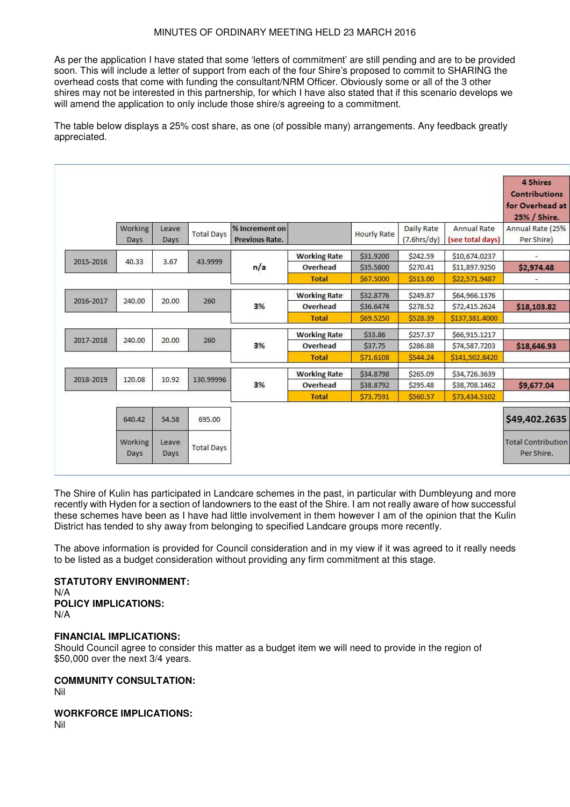As per the application I have stated that some 'letters of commitment' are still pending and are to be provided soon. This will include a letter of support from each of the four Shire's proposed to commit to SHARING the overhead costs that come with funding the consultant/NRM Officer. Obviously some or all of the 3 other shires may not be interested in this partnership, for which I have also stated that if this scenario develops we will amend the application to only include those shire/s agreeing to a commitment.

The table below displays a 25% cost share, as one (of possible many) arrangements. Any feedback greatly appreciated.

|           |                 |               |                   |                                         |                     |                    |                                  |                                        | <b>4 Shires</b><br><b>Contributions</b><br>for Overhead at<br>25% / Shire. |
|-----------|-----------------|---------------|-------------------|-----------------------------------------|---------------------|--------------------|----------------------------------|----------------------------------------|----------------------------------------------------------------------------|
|           | Working<br>Days | Leave<br>Days | <b>Total Days</b> | % Increment on<br><b>Previous Rate.</b> |                     | <b>Hourly Rate</b> | <b>Daily Rate</b><br>(7.6hrs/dy) | <b>Annual Rate</b><br>(see total days) | Annual Rate (25%<br>Per Shire)                                             |
|           |                 |               |                   |                                         | <b>Working Rate</b> | \$31.9200          | \$242.59                         | \$10,674.0237                          | U.                                                                         |
| 2015-2016 | 40.33           | 3.67          | 43.9999           | n/a                                     | Overhead            | \$35.5800          | \$270.41                         | \$11,897.9250                          | \$2,974.48                                                                 |
|           |                 |               |                   |                                         | <b>Total</b>        | \$67.5000          | \$513.00                         | \$22,571.9487                          | ÷.                                                                         |
|           |                 |               |                   |                                         | <b>Working Rate</b> | \$32.8776          | \$249.87                         | \$64,966.1376                          |                                                                            |
| 2016-2017 | 240,00          | 20,00         | 260               | 3%                                      | Overhead            | \$36.6474          | \$278.52                         | \$72,415.2624                          | \$18,103.82                                                                |
|           |                 |               |                   |                                         | <b>Total</b>        | \$69,5250          | \$528.39                         | \$137,381.4000                         |                                                                            |
|           |                 |               |                   |                                         | <b>Working Rate</b> | \$33.86            | \$257.37                         | \$66,915.1217                          |                                                                            |
| 2017-2018 | 240.00          | 20.00         | 260               | 3%                                      | Overhead            | \$37.75            | \$286.88                         | \$74,587.7203                          | \$18,646.93                                                                |
|           |                 |               |                   |                                         | <b>Total</b>        | \$71,6108          | \$544.24                         | \$141,502.8420                         |                                                                            |
|           |                 |               |                   |                                         | <b>Working Rate</b> | \$34.8798          | \$265.09                         | \$34,726.3639                          |                                                                            |
| 2018-2019 | 120.08          | 10.92         | 130.99996         | 3%                                      | Overhead            | \$38.8792          | \$295.48                         | \$38,708.1462                          | \$9,677.04                                                                 |
|           |                 |               |                   |                                         | <b>Total</b>        | \$73.7591          | \$560.57                         | \$73,434,5102                          |                                                                            |
|           | 640.42          | 54.58         | 695.00            |                                         |                     |                    |                                  |                                        | \$49,402.2635                                                              |
|           | Working<br>Days | Leave<br>Days | <b>Total Days</b> |                                         |                     |                    |                                  |                                        | <b>Total Contribution</b><br>Per Shire.                                    |

The Shire of Kulin has participated in Landcare schemes in the past, in particular with Dumbleyung and more recently with Hyden for a section of landowners to the east of the Shire. I am not really aware of how successful these schemes have been as I have had little involvement in them however I am of the opinion that the Kulin District has tended to shy away from belonging to specified Landcare groups more recently.

The above information is provided for Council consideration and in my view if it was agreed to it really needs to be listed as a budget consideration without providing any firm commitment at this stage.

#### **STATUTORY ENVIRONMENT:**

N/A **POLICY IMPLICATIONS:**  N/A

#### **FINANCIAL IMPLICATIONS:**

Should Council agree to consider this matter as a budget item we will need to provide in the region of \$50,000 over the next 3/4 years.

#### **COMMUNITY CONSULTATION:**

Nil

**WORKFORCE IMPLICATIONS:**

Nil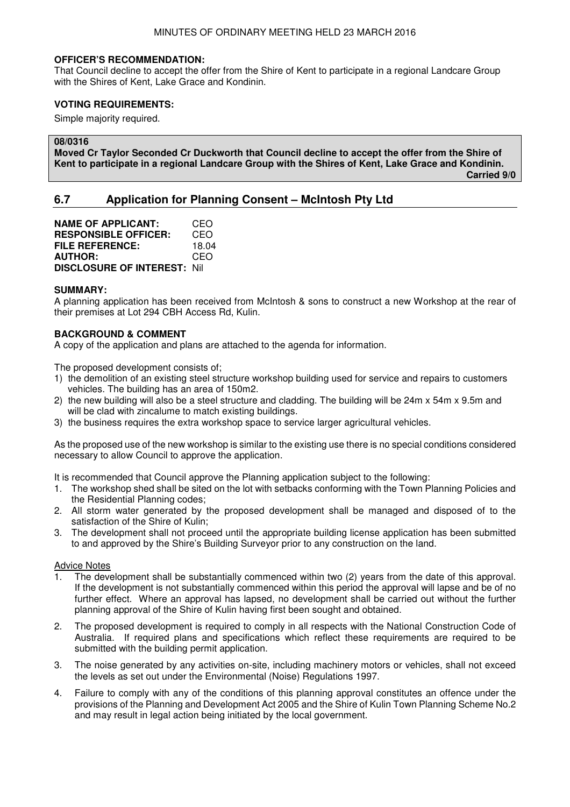#### **OFFICER'S RECOMMENDATION:**

That Council decline to accept the offer from the Shire of Kent to participate in a regional Landcare Group with the Shires of Kent, Lake Grace and Kondinin.

## **VOTING REQUIREMENTS:**

Simple majority required.

#### **08/0316**

**Moved Cr Taylor Seconded Cr Duckworth that Council decline to accept the offer from the Shire of Kent to participate in a regional Landcare Group with the Shires of Kent, Lake Grace and Kondinin. Carried 9/0** 

## **6.7 Application for Planning Consent – McIntosh Pty Ltd**

| <b>NAME OF APPLICANT:</b><br><b>RESPONSIBLE OFFICER:</b> | CEO<br>CEO |
|----------------------------------------------------------|------------|
| <b>FILE REFERENCE:</b>                                   | 18.04      |
| <b>AUTHOR:</b><br><b>DISCLOSURE OF INTEREST: Nil</b>     | CEO        |

## **SUMMARY:**

A planning application has been received from McIntosh & sons to construct a new Workshop at the rear of their premises at Lot 294 CBH Access Rd, Kulin.

#### **BACKGROUND & COMMENT**

A copy of the application and plans are attached to the agenda for information.

The proposed development consists of;

- 1) the demolition of an existing steel structure workshop building used for service and repairs to customers vehicles. The building has an area of 150m2.
- 2) the new building will also be a steel structure and cladding. The building will be 24m x 54m x 9.5m and will be clad with zincalume to match existing buildings.
- 3) the business requires the extra workshop space to service larger agricultural vehicles.

As the proposed use of the new workshop is similar to the existing use there is no special conditions considered necessary to allow Council to approve the application.

It is recommended that Council approve the Planning application subject to the following:

- 1. The workshop shed shall be sited on the lot with setbacks conforming with the Town Planning Policies and the Residential Planning codes;
- 2. All storm water generated by the proposed development shall be managed and disposed of to the satisfaction of the Shire of Kulin;
- 3. The development shall not proceed until the appropriate building license application has been submitted to and approved by the Shire's Building Surveyor prior to any construction on the land.

#### Advice Notes

- 1. The development shall be substantially commenced within two (2) years from the date of this approval. If the development is not substantially commenced within this period the approval will lapse and be of no further effect. Where an approval has lapsed, no development shall be carried out without the further planning approval of the Shire of Kulin having first been sought and obtained.
- 2. The proposed development is required to comply in all respects with the National Construction Code of Australia. If required plans and specifications which reflect these requirements are required to be submitted with the building permit application.
- 3. The noise generated by any activities on-site, including machinery motors or vehicles, shall not exceed the levels as set out under the Environmental (Noise) Regulations 1997.
- 4. Failure to comply with any of the conditions of this planning approval constitutes an offence under the provisions of the Planning and Development Act 2005 and the Shire of Kulin Town Planning Scheme No.2 and may result in legal action being initiated by the local government.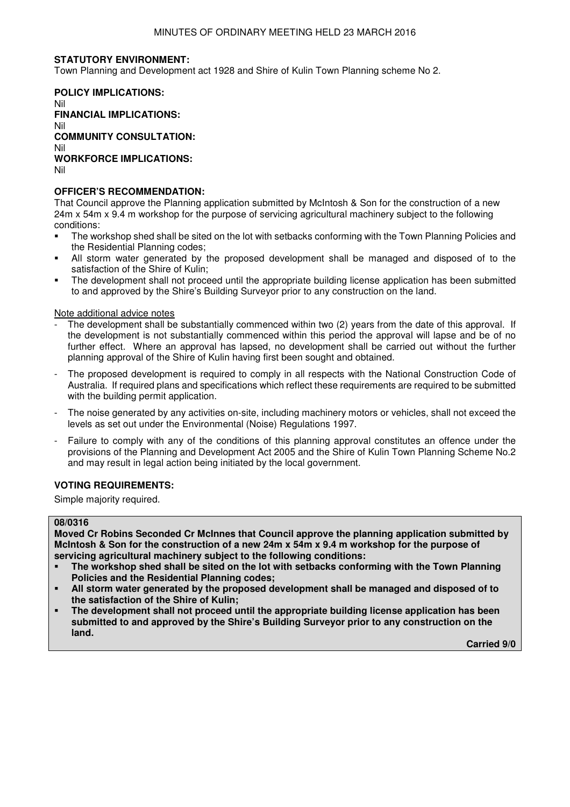#### **STATUTORY ENVIRONMENT:**

Town Planning and Development act 1928 and Shire of Kulin Town Planning scheme No 2.

**POLICY IMPLICATIONS:**  Nil **FINANCIAL IMPLICATIONS:**  Nil **COMMUNITY CONSULTATION:** Nil **WORKFORCE IMPLICATIONS:** Nil

#### **OFFICER'S RECOMMENDATION:**

That Council approve the Planning application submitted by McIntosh & Son for the construction of a new 24m x 54m x 9.4 m workshop for the purpose of servicing agricultural machinery subject to the following conditions:

- The workshop shed shall be sited on the lot with setbacks conforming with the Town Planning Policies and the Residential Planning codes;
- All storm water generated by the proposed development shall be managed and disposed of to the satisfaction of the Shire of Kulin;
- The development shall not proceed until the appropriate building license application has been submitted to and approved by the Shire's Building Surveyor prior to any construction on the land.

Note additional advice notes

- The development shall be substantially commenced within two (2) years from the date of this approval. If the development is not substantially commenced within this period the approval will lapse and be of no further effect. Where an approval has lapsed, no development shall be carried out without the further planning approval of the Shire of Kulin having first been sought and obtained.
- The proposed development is required to comply in all respects with the National Construction Code of Australia. If required plans and specifications which reflect these requirements are required to be submitted with the building permit application.
- The noise generated by any activities on-site, including machinery motors or vehicles, shall not exceed the levels as set out under the Environmental (Noise) Regulations 1997.
- Failure to comply with any of the conditions of this planning approval constitutes an offence under the provisions of the Planning and Development Act 2005 and the Shire of Kulin Town Planning Scheme No.2 and may result in legal action being initiated by the local government.

#### **VOTING REQUIREMENTS:**

Simple majority required.

## **08/0316**

**Moved Cr Robins Seconded Cr McInnes that Council approve the planning application submitted by McIntosh & Son for the construction of a new 24m x 54m x 9.4 m workshop for the purpose of servicing agricultural machinery subject to the following conditions:** 

- **The workshop shed shall be sited on the lot with setbacks conforming with the Town Planning Policies and the Residential Planning codes;**
- **All storm water generated by the proposed development shall be managed and disposed of to the satisfaction of the Shire of Kulin;**
- **The development shall not proceed until the appropriate building license application has been submitted to and approved by the Shire's Building Surveyor prior to any construction on the land.**

 **Carried 9/0**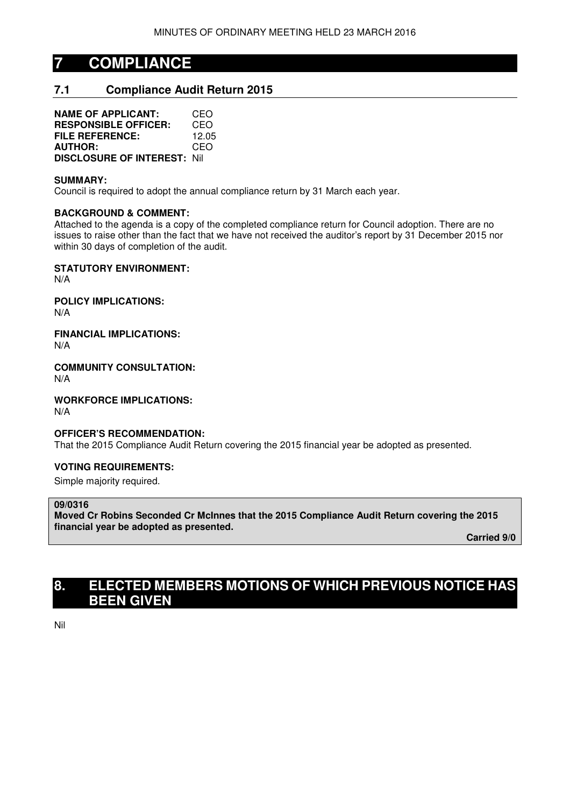## **7 COMPLIANCE**

## **7.1 Compliance Audit Return 2015**

**NAME OF APPLICANT:** CEO **RESPONSIBLE OFFICER:** CEO **FILE REFERENCE:** 12.05 **AUTHOR:** CEO **DISCLOSURE OF INTEREST:** Nil

#### **SUMMARY:**

Council is required to adopt the annual compliance return by 31 March each year.

#### **BACKGROUND & COMMENT:**

Attached to the agenda is a copy of the completed compliance return for Council adoption. There are no issues to raise other than the fact that we have not received the auditor's report by 31 December 2015 nor within 30 days of completion of the audit.

**STATUTORY ENVIRONMENT:** 

N/A

**POLICY IMPLICATIONS:**  N/A

#### **FINANCIAL IMPLICATIONS:**

N/A

## **COMMUNITY CONSULTATION:**

N/A

## **WORKFORCE IMPLICATIONS:**

N/A

#### **OFFICER'S RECOMMENDATION:**

That the 2015 Compliance Audit Return covering the 2015 financial year be adopted as presented.

#### **VOTING REQUIREMENTS:**

Simple majority required.

### **09/0316**

**Moved Cr Robins Seconded Cr McInnes that the 2015 Compliance Audit Return covering the 2015 financial year be adopted as presented.** 

**Carried 9/0** 

## **8. ELECTED MEMBERS MOTIONS OF WHICH PREVIOUS NOTICE HAS BEEN GIVEN**

Nil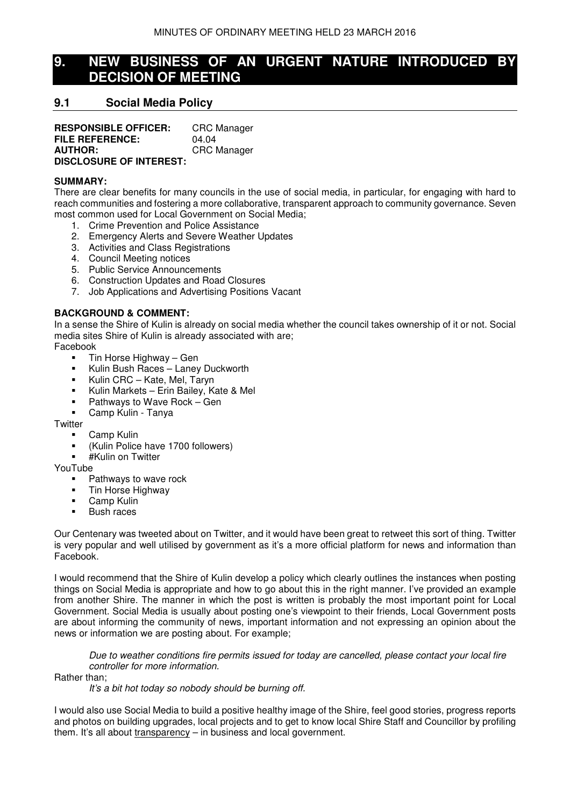## **9. NEW BUSINESS OF AN URGENT NATURE INTRODUCED BY DECISION OF MEETING**

## **9.1 Social Media Policy**

**RESPONSIBLE OFFICER:** CRC Manager **FILE REFERENCE:** 04.04 **AUTHOR:** CRC Manager **DISCLOSURE OF INTEREST:** 

#### **SUMMARY:**

There are clear benefits for many councils in the use of social media, in particular, for engaging with hard to reach communities and fostering a more collaborative, transparent approach to community governance. Seven most common used for Local Government on Social Media;

- 1. Crime Prevention and Police Assistance
- 2. Emergency Alerts and Severe Weather Updates
- 3. Activities and Class Registrations
- 4. Council Meeting notices
- 5. Public Service Announcements
- 6. Construction Updates and Road Closures
- 7. Job Applications and Advertising Positions Vacant

#### **BACKGROUND & COMMENT:**

In a sense the Shire of Kulin is already on social media whether the council takes ownership of it or not. Social media sites Shire of Kulin is already associated with are; Facebook

- $\blacksquare$  Tin Horse Highway Gen
- Kulin Bush Races Laney Duckworth
- Kulin CRC Kate, Mel, Taryn
- Kulin Markets Erin Bailey, Kate & Mel
- **Pathways to Wave Rock Gen**
- **Camp Kulin Tanya**

**Twitter** 

- Camp Kulin
- (Kulin Police have 1700 followers)
- **\*** #Kulin on Twitter

YouTube

- Pathways to wave rock
- Tin Horse Highway
- **Camp Kulin**
- Bush races

Our Centenary was tweeted about on Twitter, and it would have been great to retweet this sort of thing. Twitter is very popular and well utilised by government as it's a more official platform for news and information than Facebook.

I would recommend that the Shire of Kulin develop a policy which clearly outlines the instances when posting things on Social Media is appropriate and how to go about this in the right manner. I've provided an example from another Shire. The manner in which the post is written is probably the most important point for Local Government. Social Media is usually about posting one's viewpoint to their friends, Local Government posts are about informing the community of news, important information and not expressing an opinion about the news or information we are posting about. For example;

Due to weather conditions fire permits issued for today are cancelled, please contact your local fire controller for more information.

Rather than;

It's a bit hot today so nobody should be burning off.

I would also use Social Media to build a positive healthy image of the Shire, feel good stories, progress reports and photos on building upgrades, local projects and to get to know local Shire Staff and Councillor by profiling them. It's all about transparency – in business and local government.